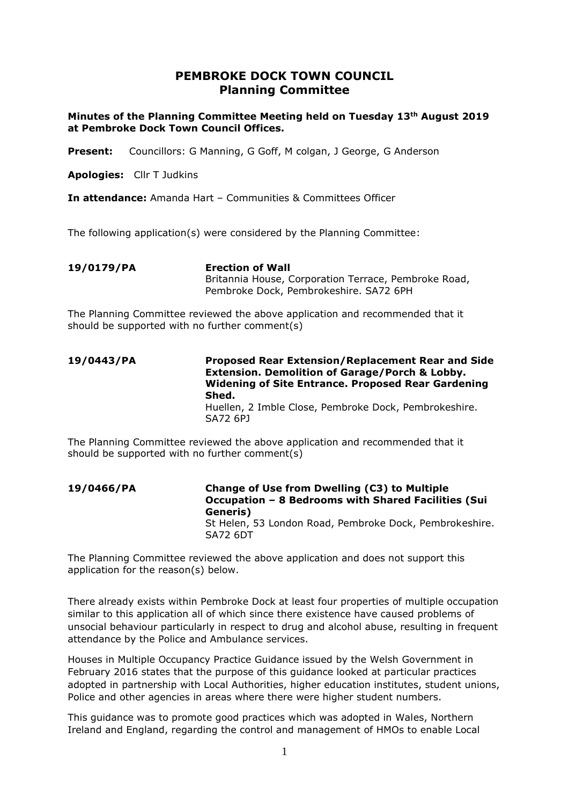# **PEMBROKE DOCK TOWN COUNCIL Planning Committee**

**Minutes of the Planning Committee Meeting held on Tuesday 13th August 2019 at Pembroke Dock Town Council Offices.**

Present: Councillors: G Manning, G Goff, M colgan, J George, G Anderson

**Apologies:** Cllr T Judkins

**In attendance:** Amanda Hart – Communities & Committees Officer

The following application(s) were considered by the Planning Committee:

**19/0179/PA Erection of Wall** Britannia House, Corporation Terrace, Pembroke Road, Pembroke Dock, Pembrokeshire. SA72 6PH

The Planning Committee reviewed the above application and recommended that it should be supported with no further comment(s)

#### **19/0443/PA Proposed Rear Extension/Replacement Rear and Side Extension. Demolition of Garage/Porch & Lobby. Widening of Site Entrance. Proposed Rear Gardening Shed.** Huellen, 2 Imble Close, Pembroke Dock, Pembrokeshire. SA72 6PJ

The Planning Committee reviewed the above application and recommended that it should be supported with no further comment(s)

**19/0466/PA Change of Use from Dwelling (C3) to Multiple Occupation – 8 Bedrooms with Shared Facilities (Sui Generis)** St Helen, 53 London Road, Pembroke Dock, Pembrokeshire. SA72 6DT

The Planning Committee reviewed the above application and does not support this application for the reason(s) below.

There already exists within Pembroke Dock at least four properties of multiple occupation similar to this application all of which since there existence have caused problems of unsocial behaviour particularly in respect to drug and alcohol abuse, resulting in frequent attendance by the Police and Ambulance services.

Houses in Multiple Occupancy Practice Guidance issued by the Welsh Government in February 2016 states that the purpose of this guidance looked at particular practices adopted in partnership with Local Authorities, higher education institutes, student unions, Police and other agencies in areas where there were higher student numbers.

This guidance was to promote good practices which was adopted in Wales, Northern Ireland and England, regarding the control and management of HMOs to enable Local